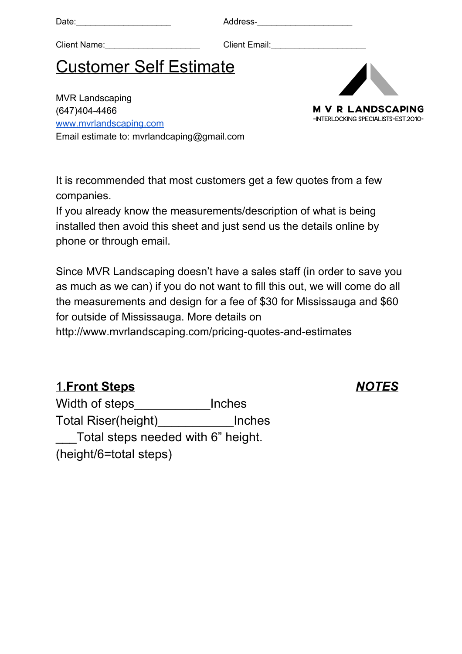Date:\_\_\_\_\_\_\_\_\_\_\_\_\_\_\_\_\_\_\_\_ Address-\_\_\_\_\_\_\_\_\_\_\_\_\_\_\_\_\_\_\_\_

Client Name: et al. 2016 Client Email:

# Customer Self Estimate

MVR Landscaping (647)404-4466 [www.mvrlandscaping.com](http://www.mvrlandscaping.com/) Email estimate to: mvrlandcaping@gmail.com



It is recommended that most customers get a few quotes from a few companies.

If you already know the measurements/description of what is being installed then avoid this sheet and just send us the details online by phone or through email.

Since MVR Landscaping doesn't have a sales staff (in order to save you as much as we can) if you do not want to fill this out, we will come do all the measurements and design for a fee of \$30 for Mississauga and \$60 for outside of Mississauga. More details on http://www.mvrlandscaping.com/pricing-quotes-and-estimates

# 1.**Front Steps** *N OTES*

Width of steps\_\_\_\_\_\_\_\_\_\_\_\_\_\_\_Inches Total Riser(height) lnches Total steps needed with 6" height. (height/6=total steps)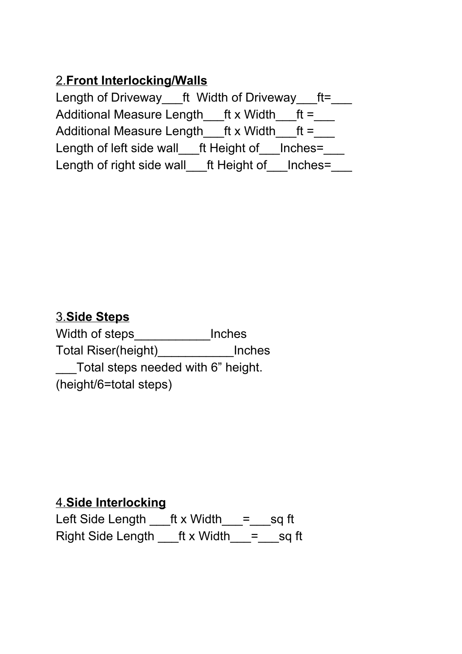# 2.**Front Interlocking/Walls**

Length of Driveway\_\_\_ft Width of Driveway\_\_\_ft=\_\_\_ Additional Measure Length $f(x)$  Width $f(x)$  =  $f(x)$ Additional Measure Length  $f(x)$  Width  $f(x)$ Length of left side wall ft Height of Inches= Length of right side wall ft Height of Inches=

## 3.**Side Steps**

Width of steps\_\_\_\_\_\_\_\_\_\_\_\_\_Inches Total Riser(height)\_\_\_\_\_\_\_\_\_\_\_Inches \_\_\_Total steps needed with 6" height. (height/6=total steps)

### 4.**Side Interlocking**

Left Side Length \_\_\_ft x Width \_\_= \_\_\_ sq ft Right Side Length  $f(x)$  Width  $=$  sq ft